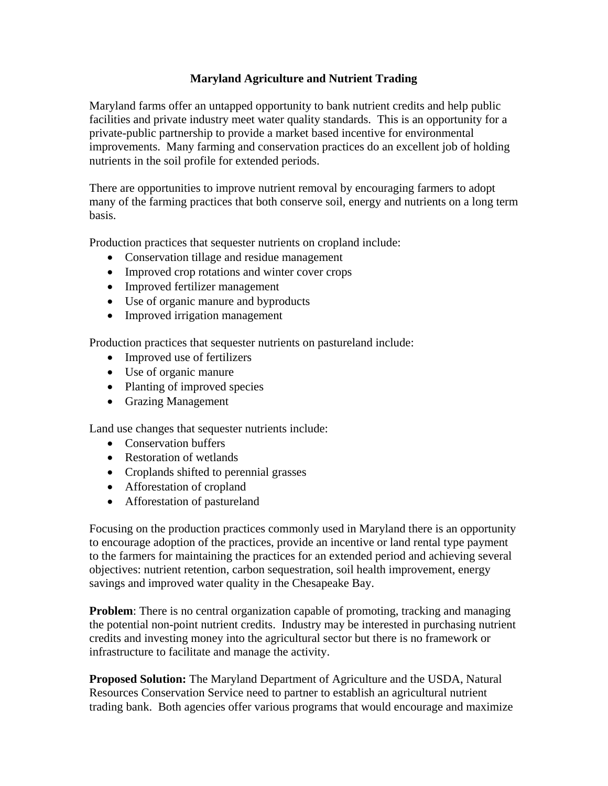## **Maryland Agriculture and Nutrient Trading**

Maryland farms offer an untapped opportunity to bank nutrient credits and help public facilities and private industry meet water quality standards. This is an opportunity for a private-public partnership to provide a market based incentive for environmental improvements. Many farming and conservation practices do an excellent job of holding nutrients in the soil profile for extended periods.

There are opportunities to improve nutrient removal by encouraging farmers to adopt many of the farming practices that both conserve soil, energy and nutrients on a long term basis.

Production practices that sequester nutrients on cropland include:

- Conservation tillage and residue management
- Improved crop rotations and winter cover crops
- Improved fertilizer management
- Use of organic manure and byproducts
- Improved irrigation management

Production practices that sequester nutrients on pastureland include:

- Improved use of fertilizers
- Use of organic manure
- Planting of improved species
- Grazing Management

Land use changes that sequester nutrients include:

- Conservation buffers
- Restoration of wetlands
- Croplands shifted to perennial grasses
- Afforestation of cropland
- Afforestation of pastureland

Focusing on the production practices commonly used in Maryland there is an opportunity to encourage adoption of the practices, provide an incentive or land rental type payment to the farmers for maintaining the practices for an extended period and achieving several objectives: nutrient retention, carbon sequestration, soil health improvement, energy savings and improved water quality in the Chesapeake Bay.

**Problem**: There is no central organization capable of promoting, tracking and managing the potential non-point nutrient credits. Industry may be interested in purchasing nutrient credits and investing money into the agricultural sector but there is no framework or infrastructure to facilitate and manage the activity.

**Proposed Solution:** The Maryland Department of Agriculture and the USDA, Natural Resources Conservation Service need to partner to establish an agricultural nutrient trading bank. Both agencies offer various programs that would encourage and maximize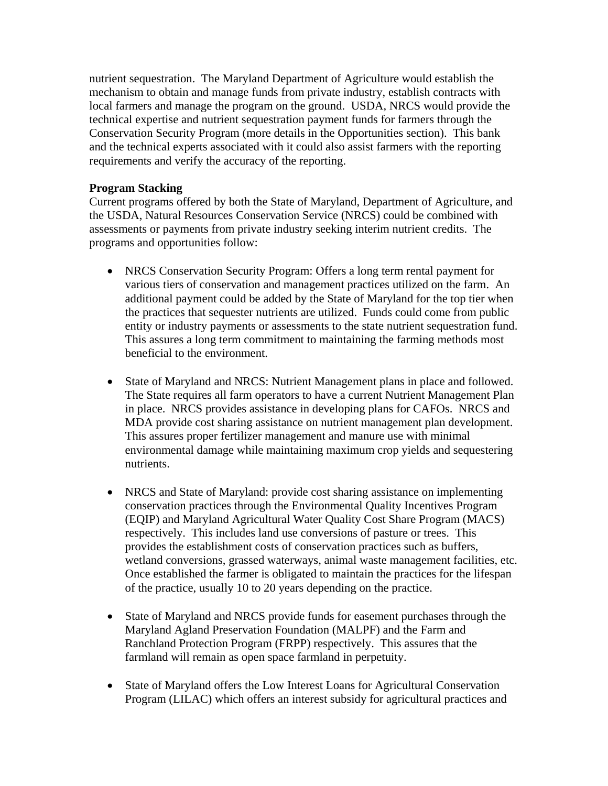nutrient sequestration. The Maryland Department of Agriculture would establish the mechanism to obtain and manage funds from private industry, establish contracts with local farmers and manage the program on the ground. USDA, NRCS would provide the technical expertise and nutrient sequestration payment funds for farmers through the Conservation Security Program (more details in the Opportunities section). This bank and the technical experts associated with it could also assist farmers with the reporting requirements and verify the accuracy of the reporting.

## **Program Stacking**

Current programs offered by both the State of Maryland, Department of Agriculture, and the USDA, Natural Resources Conservation Service (NRCS) could be combined with assessments or payments from private industry seeking interim nutrient credits. The programs and opportunities follow:

- NRCS Conservation Security Program: Offers a long term rental payment for various tiers of conservation and management practices utilized on the farm. An additional payment could be added by the State of Maryland for the top tier when the practices that sequester nutrients are utilized. Funds could come from public entity or industry payments or assessments to the state nutrient sequestration fund. This assures a long term commitment to maintaining the farming methods most beneficial to the environment.
- State of Maryland and NRCS: Nutrient Management plans in place and followed. The State requires all farm operators to have a current Nutrient Management Plan in place. NRCS provides assistance in developing plans for CAFOs. NRCS and MDA provide cost sharing assistance on nutrient management plan development. This assures proper fertilizer management and manure use with minimal environmental damage while maintaining maximum crop yields and sequestering nutrients.
- NRCS and State of Maryland: provide cost sharing assistance on implementing conservation practices through the Environmental Quality Incentives Program (EQIP) and Maryland Agricultural Water Quality Cost Share Program (MACS) respectively. This includes land use conversions of pasture or trees. This provides the establishment costs of conservation practices such as buffers, wetland conversions, grassed waterways, animal waste management facilities, etc. Once established the farmer is obligated to maintain the practices for the lifespan of the practice, usually 10 to 20 years depending on the practice.
- State of Maryland and NRCS provide funds for easement purchases through the Maryland Agland Preservation Foundation (MALPF) and the Farm and Ranchland Protection Program (FRPP) respectively. This assures that the farmland will remain as open space farmland in perpetuity.
- State of Maryland offers the Low Interest Loans for Agricultural Conservation Program (LILAC) which offers an interest subsidy for agricultural practices and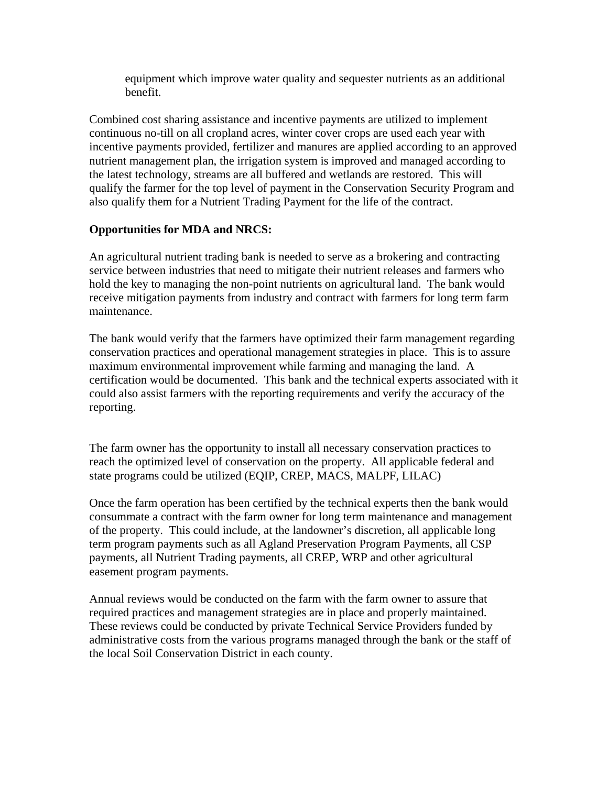equipment which improve water quality and sequester nutrients as an additional benefit.

Combined cost sharing assistance and incentive payments are utilized to implement continuous no-till on all cropland acres, winter cover crops are used each year with incentive payments provided, fertilizer and manures are applied according to an approved nutrient management plan, the irrigation system is improved and managed according to the latest technology, streams are all buffered and wetlands are restored. This will qualify the farmer for the top level of payment in the Conservation Security Program and also qualify them for a Nutrient Trading Payment for the life of the contract.

## **Opportunities for MDA and NRCS:**

An agricultural nutrient trading bank is needed to serve as a brokering and contracting service between industries that need to mitigate their nutrient releases and farmers who hold the key to managing the non-point nutrients on agricultural land. The bank would receive mitigation payments from industry and contract with farmers for long term farm maintenance.

The bank would verify that the farmers have optimized their farm management regarding conservation practices and operational management strategies in place. This is to assure maximum environmental improvement while farming and managing the land. A certification would be documented. This bank and the technical experts associated with it could also assist farmers with the reporting requirements and verify the accuracy of the reporting.

The farm owner has the opportunity to install all necessary conservation practices to reach the optimized level of conservation on the property. All applicable federal and state programs could be utilized (EQIP, CREP, MACS, MALPF, LILAC)

Once the farm operation has been certified by the technical experts then the bank would consummate a contract with the farm owner for long term maintenance and management of the property. This could include, at the landowner's discretion, all applicable long term program payments such as all Agland Preservation Program Payments, all CSP payments, all Nutrient Trading payments, all CREP, WRP and other agricultural easement program payments.

Annual reviews would be conducted on the farm with the farm owner to assure that required practices and management strategies are in place and properly maintained. These reviews could be conducted by private Technical Service Providers funded by administrative costs from the various programs managed through the bank or the staff of the local Soil Conservation District in each county.